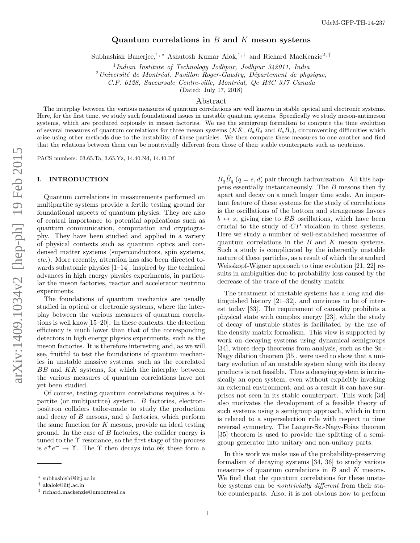# Quantum correlations in  $B$  and  $K$  meson systems

Subhashish Banerjee,<sup>1, \*</sup> Ashutosh Kumar Alok,<sup>1,†</sup> and Richard MacKenzie<sup>2,‡</sup>

<sup>1</sup>Indian Institute of Technology Jodhpur, Jodhpur 342011, India

 $2$ Université de Montréal, Pavillon Roger-Gaudry, Département de physique,

C.P. 6128, Succursale Centre-ville, Montréal, Qc H3C 3J7 Canada

(Dated: July 17, 2018)

### Abstract

The interplay between the various measures of quantum correlations are well known in stable optical and electronic systems. Here, for the first time, we study such foundational issues in unstable quantum systems. Specifically we study meson-antimeson systems, which are produced copiously in meson factories. We use the semigroup formalism to compute the time evolution of several measures of quantum correlations for three meson systems  $(K\bar{K}, B_d\bar{B}_d$  and  $B_s\bar{B}_s)$ , circumventing difficulties which arise using other methods due to the instability of these particles. We then compare these measures to one another and find that the relations between them can be nontrivially different from those of their stable counterparts such as neutrinos.

PACS numbers: 03.65.Ta, 3.65.Yz, 14.40.Nd, 14.40.Df

# I. INTRODUCTION

Quantum correlations in measurements performed on multipartite systems provide a fertile testing ground for foundational aspects of quantum physics. They are also of central importance to potential applications such as quantum communication, computation and cryptography. They have been studied and applied in a variety of physical contexts such as quantum optics and condensed matter systems (superconductors, spin systems, etc.). More recently, attention has also been directed towards subatomic physics [1–14], inspired by the technical advances in high energy physics experiments, in particular the meson factories, reactor and accelerator neutrino experiments.

The foundations of quantum mechanics are usually studied in optical or electronic systems, where the interplay between the various measures of quantum correlations is well know[15–20]. In these contexts, the detection efficiency is much lower than that of the corresponding detectors in high energy physics experiments, such as the meson factories. It is therefore interesting and, as we will see, fruitful to test the foundations of quantum mechanics in unstable massive systems, such as the correlated  $B\bar{B}$  and  $K\bar{K}$  systems, for which the interplay between the various measures of quantum correlations have not yet been studied.

Of course, testing quantum correlations requires a bipartite (or multipartite) system. B factories, electronpositron colliders tailor-made to study the production and decay of B mesons, and  $\phi$  factories, which perform the same function for K mesons, provide an ideal testing ground. In the case of  $B$  factories, the collider energy is tuned to the Υ resonance, so the first stage of the process is  $e^+e^- \to \Upsilon$ . The  $\Upsilon$  then decays into  $b\bar{b}$ ; these form a

 $B_q\bar{B}_q$  (q = s, d) pair through hadronization. All this happens essentially instantaneously. The  $B$  mesons then fly apart and decay on a much longer time scale. An important feature of these systems for the study of correlations is the oscillations of the bottom and strangeness flavors  $b \leftrightarrow s$ , giving rise to  $B\overline{B}$  oscillations, which have been crucial to the study of CP violation in these systems. Here we study a number of well-established measures of quantum correlations in the  $B$  and  $K$  meson systems. Such a study is complicated by the inherently unstable nature of these particles, as a result of which the standard Weisskopf-Wigner approach to time evolution [21, 22] results in ambiguities due to probability loss caused by the decrease of the trace of the density matrix.

The treatment of unstable systems has a long and distinguished history [21–32], and continues to be of interest today [33]. The requirement of causality prohibits a physical state with complex energy [23], while the study of decay of unstable states is facilitated by the use of the density matrix formalism. This view is supported by work on decaying systems using dynamical semigroups [34], where deep theorems from analysis, such as the Sz.- Nagy dilation theorem [35], were used to show that a unitary evolution of an unstable system along with its decay products is not feasible. Thus a decaying system is intrinsically an open system, even without explicitly invoking an external environment, and as a result it can have surprises not seen in its stable counterpart. This work [34] also motivates the development of a feasible theory of such systems using a semigroup approach, which in turn is related to a superselection rule with respect to time reversal symmetry. The Langer-Sz.-Nagy-Foias theorem [35] theorem is used to provide the splitting of a semigroup generator into unitary and non-unitary parts.

In this work we make use of the probability-preserving formalism of decaying systems [34, 36] to study various measures of quantum correlations in  $B$  and  $K$  mesons. We find that the quantum correlations for these unstable systems can be nontrivially different from their stable counterparts. Also, it is not obvious how to perform

<sup>∗</sup> subhashish@iitj.ac.in

<sup>†</sup> akalok@iitj.ac.in

<sup>‡</sup> richard.mackenzie@umontreal.ca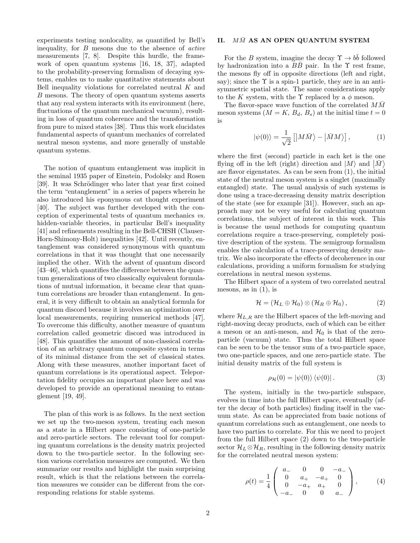experiments testing nonlocality, as quantified by Bell's inequality, for B mesons due to the absence of active measurements [7, 8]. Despite this hurdle, the framework of open quantum systems [16, 18, 37], adapted to the probability-preserving formalism of decaying systems, enables us to make quantitative statements about Bell inequality violations for correlated neutral K and B mesons. The theory of open quantum systems asserts that any real system interacts with its environment (here, fluctuations of the quantum mechanical vacuum), resulting in loss of quantum coherence and the transformation from pure to mixed states [38]. Thus this work elucidates fundamental aspects of quantum mechanics of correlated neutral meson systems, and more generally of unstable quantum systems.

The notion of quantum entanglement was implicit in the seminal 1935 paper of Einstein, Podolsky and Rosen [39]. It was Schrödinger who later that year first coined the term "entanglement" in a series of papers wherein he also introduced his eponymous cat thought experiment [40]. The subject was further developed with the conception of experimental tests of quantum mechanics vs. hidden-variable theories, in particular Bell's inequality [41] and refinements resulting in the Bell-CHSH (Clauser-Horn-Shimony-Holt) inequalities [42]. Until recently, entanglement was considered synonymous with quantum correlations in that it was thought that one necessarily implied the other. With the advent of quantum discord [43–46], which quantifies the difference between the quantum generalizations of two classically equivalent formulations of mutual information, it became clear that quantum correlations are broader than entanglement. In general, it is very difficult to obtain an analytical formula for quantum discord because it involves an optimization over local measurements, requiring numerical methods [47]. To overcome this difficulty, another measure of quantum correlation called geometric discord was introduced in [48]. This quantifies the amount of non-classical correlation of an arbitrary quantum composite system in terms of its minimal distance from the set of classical states. Along with these measures, another important facet of quantum correlations is its operational aspect. Teleportation fidelity occupies an important place here and was developed to provide an operational meaning to entanglement [19, 49].

The plan of this work is as follows. In the next section we set up the two-meson system, treating each meson as a state in a Hilbert space consisting of one-particle and zero-particle sectors. The relevant tool for computing quantum correlations is the density matrix projected down to the two-particle sector. In the following section various correlation measures are computed. We then summarize our results and highlight the main surprising result, which is that the relations between the correlation measures we consider can be different from the corresponding relations for stable systems.

# II.  $M\bar{M}$  AS AN OPEN QUANTUM SYSTEM

For the B system, imagine the decay  $\Upsilon \to b\bar{b}$  followed by hadronization into a  $B\bar{B}$  pair. In the  $\Upsilon$  rest frame, the mesons fly off in opposite directions (left and right, say); since the  $\Upsilon$  is a spin-1 particle, they are in an antisymmetric spatial state. The same considerations apply to the K system, with the  $\Upsilon$  replaced by a  $\phi$  meson.

The flavor-space wave function of the correlated  $M\overline{M}$ meson systems  $(M = K, B_d, B_s)$  at the initial time  $t = 0$ is

$$
|\psi(0)\rangle = \frac{1}{\sqrt{2}} [ |M\bar{M}\rangle - | \bar{M}M \rangle ], \qquad (1)
$$

where the first (second) particle in each ket is the one flying off in the left (right) direction and  $|M\rangle$  and  $|\bar{M}\rangle$ are flavor eigenstates. As can be seen from (1), the initial state of the neutral meson system is a singlet (maximally entangled) state. The usual analysis of such systems is done using a trace-decreasing density matrix description of the state (see for example [31]). However, such an approach may not be very useful for calculating quantum correlations, the subject of interest in this work. This is because the usual methods for computing quantum correlations require a trace-preserving, completely positive description of the system. The semigroup formalism enables the calculation of a trace-preserving density matrix. We also incorporate the effects of decoherence in our calculations, providing a uniform formalism for studying correlations in neutral meson systems.

The Hilbert space of a system of two correlated neutral mesons, as in  $(1)$ , is

$$
\mathcal{H} = (\mathcal{H}_L \oplus \mathcal{H}_0) \otimes (\mathcal{H}_R \oplus \mathcal{H}_0), \qquad (2)
$$

where  $\mathcal{H}_{L,R}$  are the Hilbert spaces of the left-moving and right-moving decay products, each of which can be either a meson or an anti-meson, and  $\mathcal{H}_0$  is that of the zeroparticle (vacuum) state. Thus the total Hilbert space can be seen to be the tensor sum of a two-particle space, two one-particle spaces, and one zero-particle state. The initial density matrix of the full system is

$$
\rho_{\mathcal{H}}(0) = |\psi(0)\rangle \langle \psi(0)|. \tag{3}
$$

The system, initially in the two-particle subspace, evolves in time into the full Hilbert space, eventually (after the decay of both particles) finding itself in the vacuum state. As can be appreciated from basic notions of quantum correlations such as entanglement, one needs to have two parties to correlate. For this we need to project from the full Hilbert space (2) down to the two-particle sector  $\mathcal{H}_L \otimes \mathcal{H}_R$ , resulting in the following density matrix for the correlated neutral meson system:

$$
\rho(t) = \frac{1}{4} \begin{pmatrix} a_{-} & 0 & 0 & -a_{-} \\ 0 & a_{+} & -a_{+} & 0 \\ 0 & -a_{+} & a_{+} & 0 \\ -a_{-} & 0 & 0 & a_{-} \end{pmatrix}, \quad (4)
$$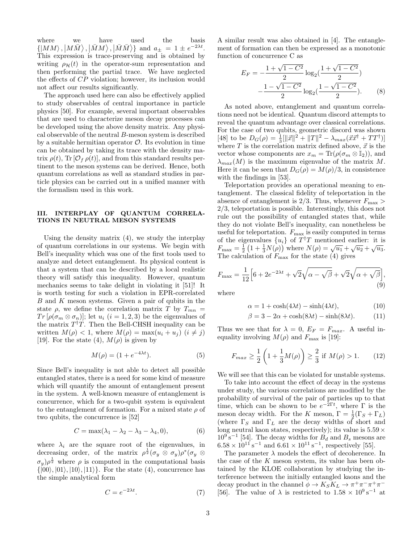where we have used the basis  $\{ |MM\rangle, |M\overline{M}\rangle, |\overline{M}M\rangle, |\overline{M}\overline{M}\rangle\}$  and  $a_{\pm} = 1 \pm e^{-2\lambda t}$ . This expression is trace-preserving and is obtained by writing  $\rho_{\mathcal{H}}(t)$  in the operator-sum representation and then performing the partial trace. We have neglected the effects of CP violation; however, its inclusion would not affect our results significantly.

The approach used here can also be effectively applied to study observables of central importance in particle physics [50]. For example, several important observables that are used to characterize meson decay processes can be developed using the above density matrix. Any physical observable of the neutral B-meson system is described by a suitable hermitian operator  $\mathcal O$ . Its evolution in time can be obtained by taking its trace with the density matrix  $\rho(t)$ , Tr  $[\mathcal{O}_f \rho(t)]$ , and from this standard results pertinent to the meson systems can be derived. Hence, both quantum correlations as well as standard studies in particle physics can be carried out in a unified manner with the formalism used in this work.

## III. INTERPLAY OF QUANTUM CORRELA-TIONS IN NEUTRAL MESON SYSTEMS

Using the density matrix (4), we study the interplay of quantum correlations in our systems. We begin with Bell's inequality which was one of the first tools used to analyze and detect entanglement. Its physical content is that a system that can be described by a local realistic theory will satisfy this inequality. However, quantum mechanics seems to take delight in violating it [51]! It is worth testing for such a violation in EPR-correlated  $B$  and  $K$  meson systems. Given a pair of qubits in the state  $\rho$ , we define the correlation matrix T by  $T_{mn}$  =  $Tr\left[\rho(\sigma_m\otimes\sigma_n)\right]$ ; let  $u_i$   $(i=1,2,3)$  be the eigenvalues of the matrix  $T^{\dagger}T$ . Then the Bell-CHSH inequality can be written  $M(\rho) < 1$ , where  $M(\rho) = \max(u_i + u_j)$   $(i \neq j)$ [19]. For the state (4),  $M(\rho)$  is given by

$$
M(\rho) = (1 + e^{-4\lambda t}).\tag{5}
$$

Since Bell's inequality is not able to detect all possible entangled states, there is a need for some kind of measure which will quantify the amount of entanglement present in the system. A well-known measure of entanglement is concurrence, which for a two-qubit system is equivalent to the entanglement of formation. For a mixed state  $\rho$  of two qubits, the concurrence is [52]

$$
C = \max(\lambda_1 - \lambda_2 - \lambda_3 - \lambda_4, 0), \tag{6}
$$

where  $\lambda_i$  are the square root of the eigenvalues, in decreasing order, of the matrix  $\rho^{\frac{1}{2}}(\sigma_y \otimes \sigma_y)\rho^*(\sigma_y \otimes$  $(\sigma_y) \rho^{\frac{1}{2}}$  where  $\rho$  is computed in the computational basis  $\{|00\rangle, |01\rangle, |10\rangle, |11\rangle\}.$  For the state (4), concurrence has the simple analytical form

$$
C = e^{-2\lambda t}.\tag{7}
$$

A similar result was also obtained in [4]. The entanglement of formation can then be expressed as a monotonic function of concurrence C as

$$
E_F = -\frac{1 + \sqrt{1 - C^2}}{2} \log_2(\frac{1 + \sqrt{1 - C^2}}{2}) -\frac{1 - \sqrt{1 - C^2}}{2} \log_2(\frac{1 - \sqrt{1 - C^2}}{2}).
$$
 (8)

As noted above, entanglement and quantum correlations need not be identical. Quantum discord attempts to reveal the quantum advantage over classical correlations. For the case of two qubits, geometric discord was shown [48] to be  $D_G(\rho) = \frac{1}{3}[\|\vec{x}\|^2 + \|T\|^2 - \lambda_{max}(\vec{x}\vec{x}^{\dagger} + TT^{\dagger})]$ where  $T$  is the correlation matrix defined above,  $\vec{x}$  is the vector whose components are  $x_m = \text{Tr}(\rho(\sigma_m \otimes \mathbb{I}_2)),$  and  $\lambda_{max}(M)$  is the maximum eigenvalue of the matrix M. Here it can be seen that  $D_G(\rho) = M(\rho)/3$ , in consistence with the findings in [53].

Teleportation provides an operational meaning to entanglement. The classical fidelity of teleportation in the absence of entanglement is 2/3. Thus, whenever  $F_{\text{max}}$ 2/3, teleportation is possible. Interestingly, this does not rule out the possibility of entangled states that, while they do not violate Bell's inequality, can nonetheless be useful for teleportation.  $F_{\text{max}}$  is easily computed in terms of the eigenvalues  $\{u_i\}$  of  $T^{\dagger}T$  mentioned earlier: it is  $F_{\text{max}} = \frac{1}{2} \left( 1 + \frac{1}{3} N(\rho) \right)$  where  $N(\rho) = \sqrt{u_1} + \sqrt{u_2} + \sqrt{u_3}$ . The calculation of  $F_{\text{max}}$  for the state (4) gives

$$
F_{\text{max}} = \frac{1}{12} \Big[ 6 + 2e^{-2\lambda t} + \sqrt{2}\sqrt{\alpha - \sqrt{\beta}} + \sqrt{2}\sqrt{\alpha + \sqrt{\beta}} \Big],\tag{9}
$$

where

$$
\alpha = 1 + \cosh(4\lambda t) - \sinh(4\lambda t),\tag{10}
$$

$$
\beta = 3 - 2\alpha + \cosh(8\lambda t) - \sinh(8\lambda t). \tag{11}
$$

Thus we see that for  $\lambda = 0$ ,  $E_F = F_{max}$ . A useful inequality involving  $M(\rho)$  and  $F_{\text{max}}$  is [19]:

$$
F_{max} \ge \frac{1}{2} \left( 1 + \frac{1}{3} M(\rho) \right) \ge \frac{2}{3} \text{ if } M(\rho) > 1.
$$
 (12)

We will see that this can be violated for unstable systems.

To take into account the effect of decay in the systems under study, the various correlations are modified by the probability of survival of the pair of particles up to that time, which can be shown to be  $e^{-2\Gamma t}$ , where  $\Gamma$  is the meson decay width. For the K meson,  $\Gamma = \frac{1}{2}(\Gamma_S + \Gamma_L)$ (where  $\Gamma_S$  and  $\Gamma_L$  are the decay widths of short and long neutral kaon states, respectively); its value is  $5.59\times$  $10^9$  s<sup>-1</sup> [54]. The decay widths for  $B_d$  and  $B_s$  mesons are  $6.58 \times 10^{11} \text{ s}^{-1}$  and  $6.61 \times 10^{11} \text{ s}^{-1}$ , respectively [55].

The parameter  $\lambda$  models the effect of decoherence. In the case of the K meson system, its value has been obtained by the KLOE collaboration by studying the interference between the initially entangled kaons and the decay product in the channel  $\phi \to K_S K_L \to \pi^+ \pi^- \pi^+ \pi^-$ [56]. The value of  $\lambda$  is restricted to  $1.58 \times 10^9 \,\mathrm{s}^{-1}$  at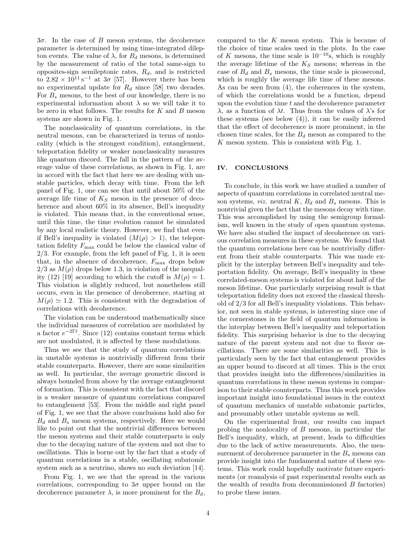$3\sigma$ . In the case of B meson systems, the decoherence parameter is determined by using time-integrated dilepton events. The value of  $\lambda$ , for  $B_d$  mesons, is determined by the measurement of ratio of the total same-sign to opposites-sign semileptonic rates,  $R_d$ , and is restricted to  $2.82 \times 10^{11} \text{ s}^{-1}$  at  $3\sigma$  [57]. However there has been no experimental update for  $R_d$  since [58] two decades. For  $B_s$  mesons, to the best of our knowledge, there is no experimental information about  $\lambda$  so we will take it to be zero in what follows. The results for  $K$  and  $B$  meson systems are shown in Fig. 1.

The nonclassicality of quantum correlations, in the neutral mesons, can be characterized in terms of nonlocality (which is the strongest condition), entanglement, teleportation fidelity or weaker nonclassicality measures like quantum discord. The fall in the pattern of the average value of these correlations, as shown in Fig. 1, are in accord with the fact that here we are dealing with unstable particles, which decay with time. From the left panel of Fig. 1, one can see that until about 50% of the average life time of  $K_S$  meson in the presence of decoherence and about  $60\%$  in its absence, Bell's inequality is violated. This means that, in the conventional sense, until this time, the time evolution cannot be simulated by any local realistic theory. However, we find that even if Bell's inequality is violated  $(M(\rho) > 1)$ , the teleportation fidelity  $F_{\text{max}}$  could be below the classical value of 2/3. For example, from the left panel of Fig. 1, it is seen that, in the absence of decoherence,  $F_{\text{max}}$  drops below  $2/3$  as  $M(\rho)$  drops below 1.3, in violation of the inequality (12) [19] according to which the cutoff is  $M(\rho) = 1$ . This violation is slightly reduced, but nonetheless still occurs, even in the presence of decoherence, starting at  $M(\rho) \simeq 1.2$ . This is consistent with the degradation of correlations with decoherence.

The violation can be understood mathematically since the individual measures of correlation are modulated by a factor  $e^{-2\Gamma t}$ . Since (12) contains constant terms which are not modulated, it is affected by these modulations.

Thus we see that the study of quantum correlations in unstable systems is nontrivially different from their stable counterparts. However, there are some similarities as well. In particular, the average geometric discord is always bounded from above by the average entanglement of formation. This is consistent with the fact that discord is a weaker measure of quantum correlations compared to entanglement [53]. From the middle and right panel of Fig. 1, we see that the above conclusions hold also for  $B_d$  and  $B_s$  meson systems, respectively. Here we would like to point out that the nontrivial differences between the meson systems and their stable counterparts is only due to the decaying nature of the system and not due to oscillations. This is borne out by the fact that a study of quantum correlations in a stable, oscillating subatomic system such as a neutrino, shows no such deviation [14].

From Fig. 1, we see that the spread in the various correlations, corresponding to  $3\sigma$  upper bound on the decoherence parameter  $\lambda$ , is more prominent for the  $B_d$ , compared to the  $K$  meson system. This is because of the choice of time scales used in the plots. In the case of K mesons, the time scale is  $10^{-10}$ s, which is roughly the average lifetime of the  $K_S$  mesons; whereas in the case of  $B_d$  and  $B_s$  mesons, the time scale is picosecond, which is roughly the average life time of these mesons. As can be seen from (4), the coherences in the system, of which the correlations would be a function, depend upon the evolution time  $t$  and the decoherence parameter λ, as a function of λt. Thus from the values of λ's for these systems (see below (4)), it can be easily inferred that the effect of decoherence is more prominent, in the chosen time scales, for the  $B_d$  meson as compared to the  $K$  meson system. This is consistent with Fig. 1.

#### IV. CONCLUSIONS

To conclude, in this work we have studied a number of aspects of quantum correlations in correlated neutral meson systems, *viz.* neutral  $K$ ,  $B_d$  and  $B_s$  mesons. This is nontrivial given the fact that the mesons decay with time. This was accomplished by using the semigroup formalism, well known in the study of open quantum systems. We have also studied the impact of decoherence on various correlation measures in these systems. We found that the quantum correlations here can be nontrivially different from their stable counterparts. This was made explicit by the interplay between Bell's inequality and teleportation fidelity. On average, Bell's inequality in these correlated-meson systems is violated for about half of the meson lifetime. One particularly surprising result is that teleportation fidelity does not exceed the classical threshold of 2/3 for all Bell's inequality violations. This behavior, not seen in stable systems, is interesting since one of the cornerstones in the field of quantum information is the interplay between Bell's inequality and teleportation fidelity. This surprising behavior is due to the decaying nature of the parent system and not due to flavor oscillations. There are some similarities as well. This is particularly seen by the fact that entanglement provides an upper bound to discord at all times. This is the crux that provides insight into the differences/similarities in quantum correlations in these meson systems in comparison to their stable counterparts. Thus this work provides important insight into foundational issues in the context of quantum mechanics of unstable subatomic particles, and presumably other unstable systems as well.

On the experimental front, our results can impact probing the nonlocality of B mesons, in particular the Bell's inequality, which, at present, leads to difficulties due to the lack of active measurements. Also, the measurement of decoherence parameter in the  $B_s$  mesons can provide insight into the fundamental nature of these systems. This work could hopefully motivate future experiments (or reanalysis of past experimental results such as the wealth of results from decommissioned B factories) to probe these issues.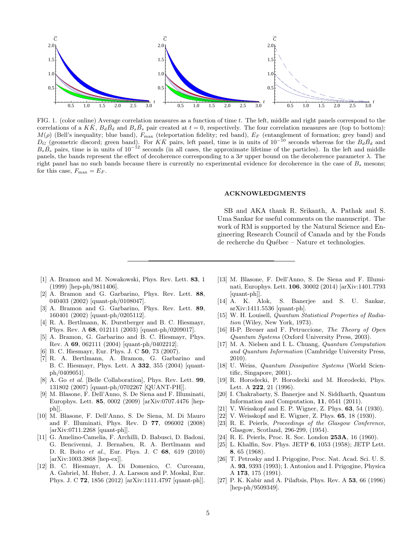

FIG. 1. (color online) Average correlation measures as a function of time t. The left, middle and right panels correspond to the correlations of a KK,  $B_dB_d$  and  $B_sB_s$  pair created at  $t = 0$ , respectively. The four correlation measures are (top to bottom):  $M(\rho)$  (Bell's inequality; blue band),  $F_{\text{max}}$  (teleportation fidelity; red band),  $E_F$  (entanglement of formation; grey band) and  $D_G$  (geometric discord; green band). For  $K\bar{K}$  pairs, left panel, time is in units of 10<sup>-10</sup> seconds whereas for the  $B_d\bar{B_d}$  and  $B_s\overline{B_s}$  pairs, time is in units of 10<sup>-12</sup> seconds (in all cases, the approximate lifetime of the particles). In the left and middle panels, the bands represent the effect of decoherence corresponding to a  $3\sigma$  upper bound on the decoherence parameter  $\lambda$ . The right panel has no such bands because there is currently no experimental evidence for decoherence in the case of  $B_s$  mesons; for this case,  $F_{\text{max}} = E_F$ .

#### ACKNOWLEDGMENTS

SB and AKA thank R. Srikanth, A. Pathak and S. Uma Sankar for useful comments on the manuscript. The work of RM is supported by the Natural Science and Engineering Research Council of Canada and by the Fonds de recherche du Québec – Nature et technologies.

- [1] A. Bramon and M. Nowakowski, Phys. Rev. Lett. 83, 1 (1999) [hep-ph/9811406].
- [2] A. Bramon and G. Garbarino, Phys. Rev. Lett. 88, 040403 (2002) [quant-ph/0108047].
- [3] A. Bramon and G. Garbarino, Phys. Rev. Lett. 89, 160401 (2002) [quant-ph/0205112].
- [4] R. A. Bertlmann, K. Durstberger and B. C. Hiesmayr, Phys. Rev. A 68, 012111 (2003) [quant-ph/0209017].
- [5] A. Bramon, G. Garbarino and B. C. Hiesmayr, Phys. Rev. A 69, 062111 (2004) [quant-ph/0402212].
- [6] B. C. Hiesmayr, Eur. Phys. J. C **50**, 73 (2007).
- [7] R. A. Bertlmann, A. Bramon, G. Garbarino and B. C. Hiesmayr, Phys. Lett. A 332, 355 (2004) [quantph/0409051].
- [8] A. Go et al. [Belle Collaboration], Phys. Rev. Lett. 99, 131802 (2007) [quant-ph/0702267 [QUANT-PH]].
- M. Blasone, F. Dell'Anno, S. De Siena and F. Illuminati, Europhys. Lett. 85, 0002 (2009) [arXiv:0707.4476 [hepph]].
- [10] M. Blasone, F. Dell'Anno, S. De Siena, M. Di Mauro and F. Illuminati, Phys. Rev. D 77, 096002 (2008) [arXiv:0711.2268 [quant-ph]].
- [11] G. Amelino-Camelia, F. Archilli, D. Babusci, D. Badoni, G. Bencivenni, J. Bernabeu, R. A. Bertlmann and D. R. Boito et al., Eur. Phys. J. C 68, 619 (2010) [arXiv:1003.3868 [hep-ex]].
- [12] B. C. Hiesmayr, A. Di Domenico, C. Curceanu, A. Gabriel, M. Huber, J. A. Larsson and P. Moskal, Eur. Phys. J. C 72, 1856 (2012) [arXiv:1111.4797 [quant-ph]].
- [13] M. Blasone, F. Dell'Anno, S. De Siena and F. Illuminati, Europhys. Lett. 106, 30002 (2014) [arXiv:1401.7793 [quant-ph]].
- [14] A. K. Alok, S. Banerjee and S. U. Sankar, arXiv:1411.5536 [quant-ph].
- [15] W. H. Louisell, Quantum Statistical Properties of Radiation (Wiley, New York, 1973).
- [16] H-P. Breuer and F. Petruccione, The Theory of Open Quantum Systems (Oxford University Press, 2003).
- [17] M. A. Nielsen and I. L. Chuang, Quantum Computation and Quantum Information (Cambridge University Press, 2010).
- [18] U. Weiss, Quantum Dissipative Systems (World Scientific, Singapore, 2001).
- [19] R. Horodecki, P. Horodecki and M. Horodecki, Phys. Lett. A 222, 21 (1996).
- [20] I. Chakrabarty, S. Banerjee and N. Siddharth, Quantum Information and Computation, 11, 0541 (2011).
- [21] V. Weisskopf and E. P. Wigner, Z. Phys. **63**, 54 (1930).
- [22] V. Weisskopf and E. Wigner, Z. Phys. 65, 18 (1930).
- [23] R. E. Peierls, Proceedings of the Glasgow Conference, Glasgow, Scotland, 296-299, (1954).
- [24] R. E. Peierls, Proc. R. Soc. London 253A, 16 (1960).
- [25] L. Khalfin, Sov. Phys. JETP 6, 1053 (1958); JETP Lett. 8, 65 (1968).
- [26] T. Petrosky and I. Prigogine, Proc. Nat. Acad. Sci. U. S. A. 93, 9393 (1993); I. Antoniou and I. Prigogine, Physica A 173, 175 (1991).
- [27] P. K. Kabir and A. Pilaftsis, Phys. Rev. A 53, 66 (1996) [hep-ph/9509349].